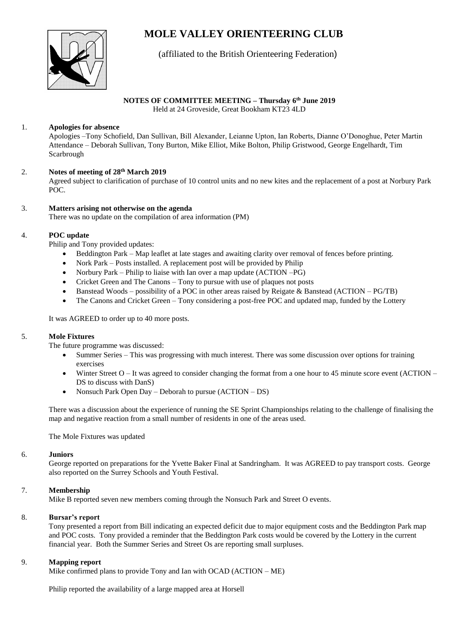# **MOLE VALLEY ORIENTEERING CLUB**



# (affiliated to the British Orienteering Federation)

## **NOTES OF COMMITTEE MEETING – Thursday 6 th June 2019**

Held at 24 Groveside, Great Bookham KT23 4LD

## 1. **Apologies for absence**

Apologies –Tony Schofield, Dan Sullivan, Bill Alexander, Leianne Upton, Ian Roberts, Dianne O'Donoghue, Peter Martin Attendance – Deborah Sullivan, Tony Burton, Mike Elliot, Mike Bolton, Philip Gristwood, George Engelhardt, Tim Scarbrough

## 2. **Notes of meeting of 28th March 2019**

Agreed subject to clarification of purchase of 10 control units and no new kites and the replacement of a post at Norbury Park POC.

## 3. **Matters arising not otherwise on the agenda**

There was no update on the compilation of area information (PM)

## 4. **POC update**

Philip and Tony provided updates:

- Beddington Park Map leaflet at late stages and awaiting clarity over removal of fences before printing.
- Nork Park Posts installed. A replacement post will be provided by Philip
- Norbury Park Philip to liaise with Ian over a map update (ACTION –PG)
- Cricket Green and The Canons Tony to pursue with use of plaques not posts
- Banstead Woods possibility of a POC in other areas raised by Reigate & Banstead (ACTION PG/TB)
- The Canons and Cricket Green Tony considering a post-free POC and updated map, funded by the Lottery

It was AGREED to order up to 40 more posts.

## 5. **Mole Fixtures**

The future programme was discussed:

- Summer Series This was progressing with much interest. There was some discussion over options for training exercises
- Winter Street O It was agreed to consider changing the format from a one hour to 45 minute score event (ACTION DS to discuss with DanS)
- Nonsuch Park Open Day Deborah to pursue (ACTION DS)

There was a discussion about the experience of running the SE Sprint Championships relating to the challenge of finalising the map and negative reaction from a small number of residents in one of the areas used.

The Mole Fixtures was updated

#### 6. **Juniors**

George reported on preparations for the Yvette Baker Final at Sandringham. It was AGREED to pay transport costs. George also reported on the Surrey Schools and Youth Festival.

## 7. **Membership**

Mike B reported seven new members coming through the Nonsuch Park and Street O events.

## 8. **Bursar's report**

Tony presented a report from Bill indicating an expected deficit due to major equipment costs and the Beddington Park map and POC costs. Tony provided a reminder that the Beddington Park costs would be covered by the Lottery in the current financial year. Both the Summer Series and Street Os are reporting small surpluses.

## 9. **Mapping report**

Mike confirmed plans to provide Tony and Ian with OCAD (ACTION – ME)

Philip reported the availability of a large mapped area at Horsell